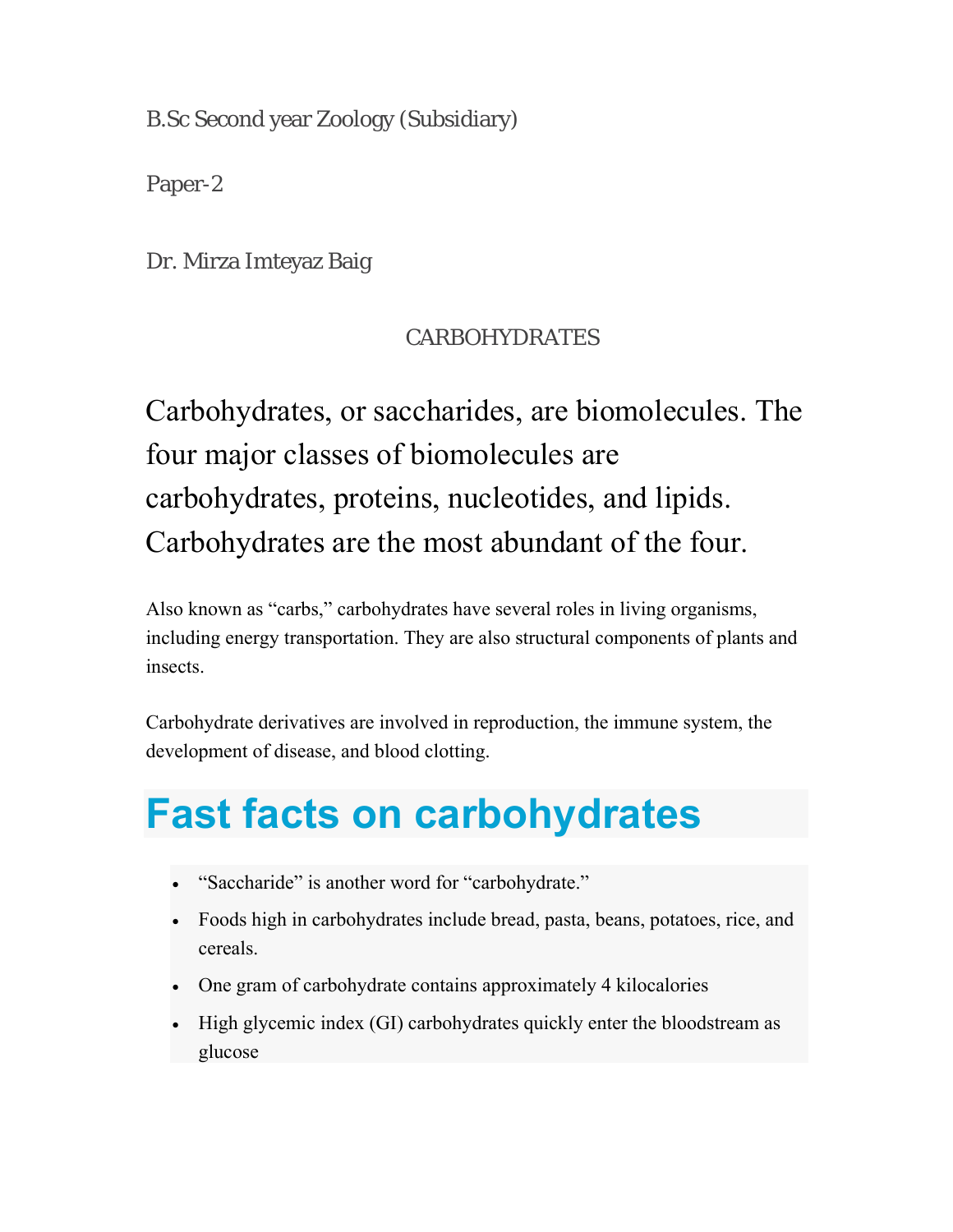B.Sc Second year Zoology (Subsidiary)

Paper-2

Dr. Mirza Imteyaz Baig

#### CARBOHYDRATES

Carbohydrates, or saccharides, are biomolecules. The four major classes of biomolecules are carbohydrates, proteins, nucleotides, and lipids. Carbohydrates are the most abundant of the four.

Also known as "carbs," carbohydrates have several roles in living organisms, including energy transportation. They are also structural components of plants and insects.

Carbohydrate derivatives are involved in reproduction, the immune system, the development of disease, and blood clotting.

## **Fast facts on carbohydrates**

- "Saccharide" is another word for "carbohydrate."
- Foods high in carbohydrates include bread, pasta, beans, potatoes, rice, and cereals.
- One gram of carbohydrate contains approximately 4 kilocalories
- High glycemic index (GI) carbohydrates quickly enter the bloodstream as glucose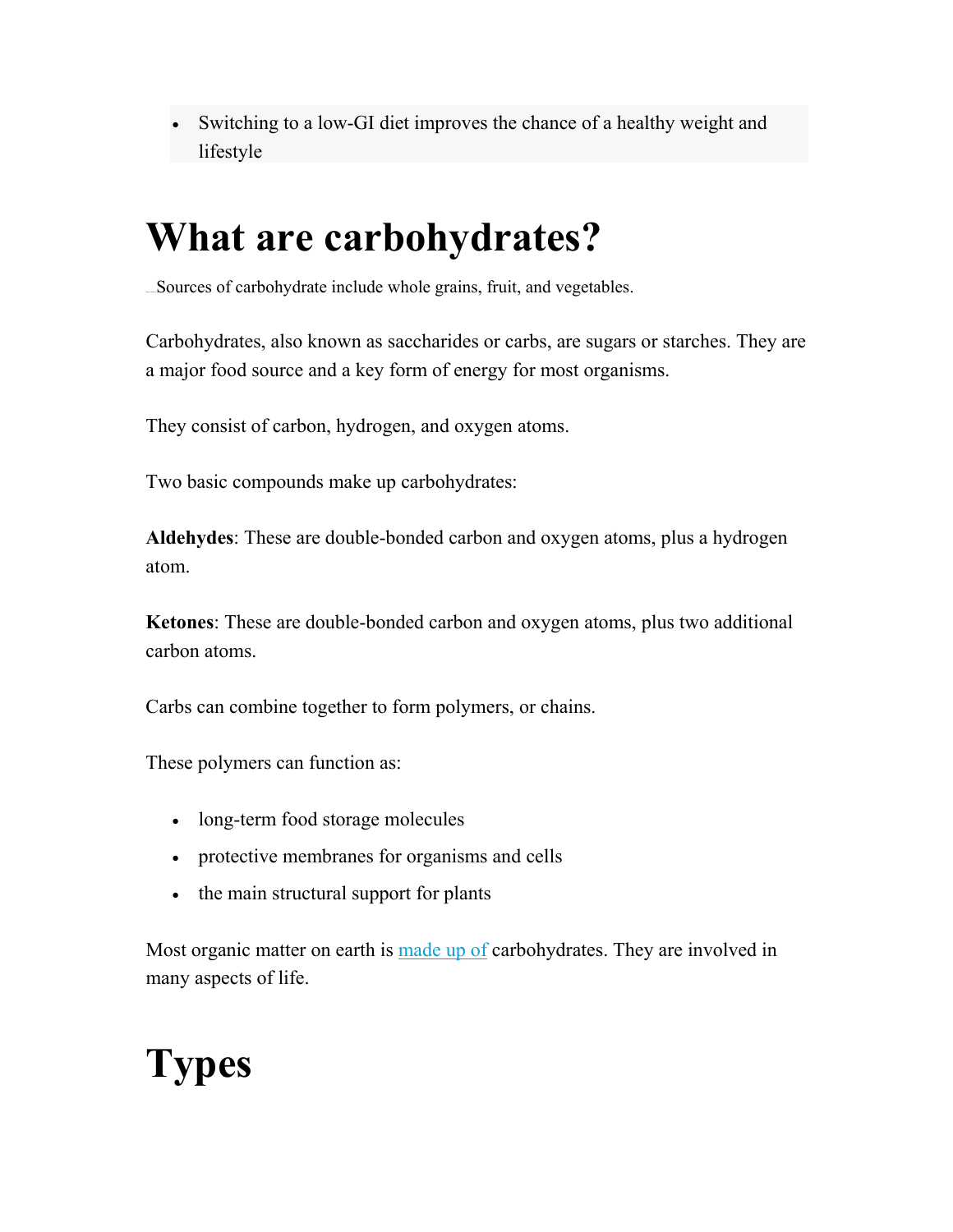Switching to a low-GI diet improves the chance of a healthy weight and lifestyle

## **What are carbohydrates?**

Sources of carbohydrate include whole grains, fruit, and vegetables.

Carbohydrates, also known as saccharides or carbs, are sugars or starches. They are a major food source and a key form of energy for most organisms.

They consist of carbon, hydrogen, and oxygen atoms.

Two basic compounds make up carbohydrates:

**Aldehydes**: These are double-bonded carbon and oxygen atoms, plus a hydrogen atom.

**Ketones**: These are double-bonded carbon and oxygen atoms, plus two additional carbon atoms.

Carbs can combine together to form polymers, or chains.

These polymers can function as:

- long-term food storage molecules
- protective membranes for organisms and cells
- the main structural support for plants

Most organic matter on earth is made up of carbohydrates. They are involved in many aspects of life.

# **Types**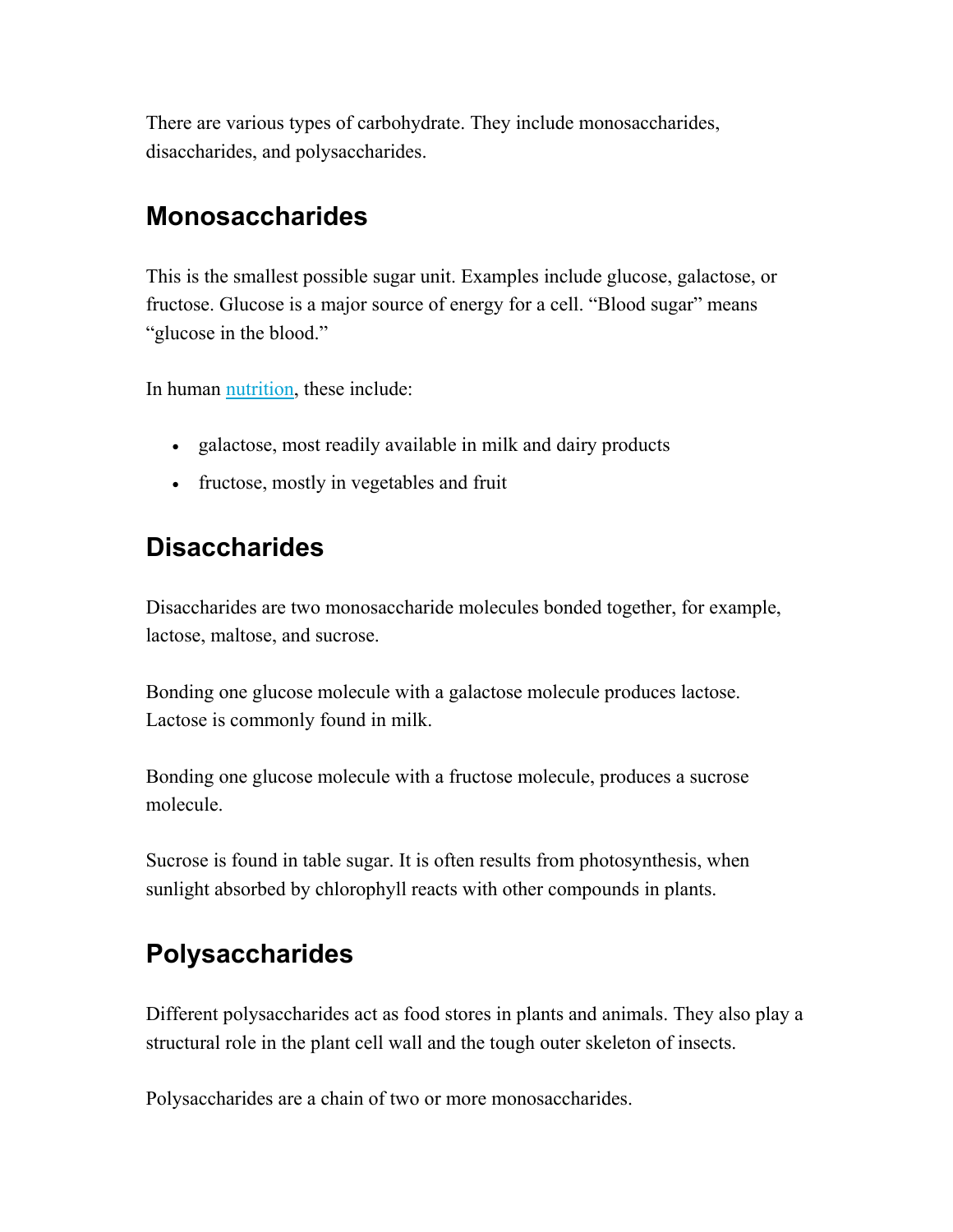There are various types of carbohydrate. They include monosaccharides, disaccharides, and polysaccharides.

#### **Monosaccharides**

This is the smallest possible sugar unit. Examples include glucose, galactose, or fructose. Glucose is a major source of energy for a cell. "Blood sugar" means "glucose in the blood."

In human nutrition, these include:

- galactose, most readily available in milk and dairy products
- fructose, mostly in vegetables and fruit

### **Disaccharides**

Disaccharides are two monosaccharide molecules bonded together, for example, lactose, maltose, and sucrose.

Bonding one glucose molecule with a galactose molecule produces lactose. Lactose is commonly found in milk.

Bonding one glucose molecule with a fructose molecule, produces a sucrose molecule.

Sucrose is found in table sugar. It is often results from photosynthesis, when sunlight absorbed by chlorophyll reacts with other compounds in plants.

### **Polysaccharides**

Different polysaccharides act as food stores in plants and animals. They also play a structural role in the plant cell wall and the tough outer skeleton of insects.

Polysaccharides are a chain of two or more monosaccharides.